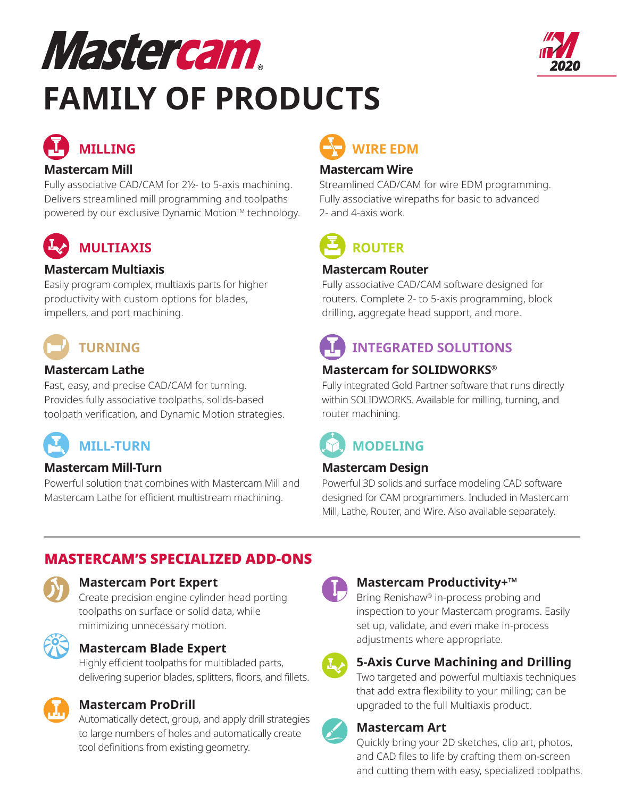# Mastercam **FAMILY OF PRODUCTS**



## **MILLING**

#### **Mastercam Mill**

Fully associative CAD/CAM for 2½- to 5-axis machining. Delivers streamlined mill programming and toolpaths powered by our exclusive Dynamic Motion™ technology.

### **MULTIAXIS**

#### **Mastercam Multiaxis**

Easily program complex, multiaxis parts for higher productivity with custom options for blades, impellers, and port machining.

## **TURNING**

#### **Mastercam Lathe**

Fast, easy, and precise CAD/CAM for turning. Provides fully associative toolpaths, solids-based toolpath verification, and Dynamic Motion strategies.

### **MILL-TURN**

#### **Mastercam Mill-Turn**

Powerful solution that combines with Mastercam Mill and Mastercam Lathe for efficient multistream machining.

## **WIRE EDM**

#### **Mastercam Wire**

Streamlined CAD/CAM for wire EDM programming. Fully associative wirepaths for basic to advanced 2- and 4-axis work.

**ROUTER**

#### **Mastercam Router**

Fully associative CAD/CAM software designed for routers. Complete 2- to 5-axis programming, block drilling, aggregate head support, and more.

## **INTEGRATED SOLUTIONS**

#### **Mastercam for SOLIDWORKS®**

Fully integrated Gold Partner software that runs directly within SOLIDWORKS. Available for milling, turning, and router machining.

## **MODELING**

#### **Mastercam Design**

Powerful 3D solids and surface modeling CAD software designed for CAM programmers. Included in Mastercam Mill, Lathe, Router, and Wire. Also available separately.

#### MASTERCAM'S SPECIALIZED ADD-ONS

#### **Mastercam Port Expert**

Create precision engine cylinder head porting toolpaths on surface or solid data, while minimizing unnecessary motion.



#### **Mastercam Blade Expert**

Highly efficient toolpaths for multibladed parts, delivering superior blades, splitters, floors, and fillets.



#### **Mastercam ProDrill**

Automatically detect, group, and apply drill strategies to large numbers of holes and automatically create tool definitions from existing geometry.



#### **Mastercam Productivity+™**

Bring Renishaw® in-process probing and inspection to your Mastercam programs. Easily set up, validate, and even make in-process adjustments where appropriate.



#### **5-Axis Curve Machining and Drilling**

Two targeted and powerful multiaxis techniques that add extra flexibility to your milling; can be upgraded to the full Multiaxis product.

#### **Mastercam Art**

Quickly bring your 2D sketches, clip art, photos, and CAD files to life by crafting them on-screen and cutting them with easy, specialized toolpaths.